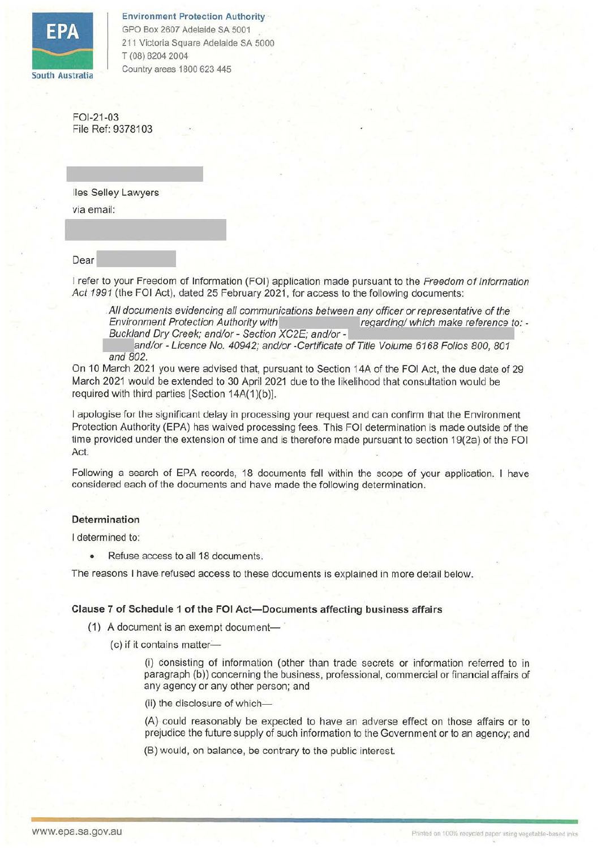

Environment Protection Authority · GPO Box 2607 Adelaide SA 5001 211 Victoria Square Adelaide SA 5000 T (08) 8204 2004

FOl-21-03 File Ref: 9378103

lies Selley Lawyers via email:

Dear------ I refer to your Freedom of Information (FOi) application made pursuant to the Freedom ofInformation Act 1991 (the FOI Act), dated 25 February 2021, for access to the following documents:

All documents evidencing all communications between any officer or representative of the<br>Environment Protection Authority with regarding/ which make reference to:<br>Buckland Dry Creek; and/or - Section XC2E; and/or -

and/or - Licence No. 40942; and/or -Certificate of Title Volume 6168 Folios 800, 801 and 802.

On 10 March 2021 you were advised that, pursuant to Section 14A of the FOi Act, the due date of 29 March 2021 would be extended to 30 April 2021 due to the likelihood that consultation would be required with third parties [Section 14A(1)(b)].

I apologise for the significant delay in processing your request and can confirm that the Environment Protection Authority (EPA) has waived processing fees. This FOi determination is made outside of the time provided under the extension of time and is therefore made pursuant to section 19(2a) of the FOi Act.

Following a search of EPA records, 18 documents fall within the scope of your application. I have considered each of the documents and have made the following determination.

# **Determination**

I determined to:

Refuse access to all 18 documents.

The reasons I have refused access to these documents is explained in more detail below.

# **Clause 7 of Schedule 1 of the FOi Act-Documents affecting business affairs**

- $(1)$  A document is an exempt document-
	- (c) if it contains matter-

(i) consisting of information (other than trade secrets or information referred to in paragraph (b)) concerning the business, professional, commercial or financial affairs of any agency or any other person; and

(ii) the disclosure of which-

(A) could reasonably be expected to have an adverse effect on those affairs or to prejudice the future supply of such information to the Government or to an agency; and

(B) would, on balance, be contrary to the public interest.